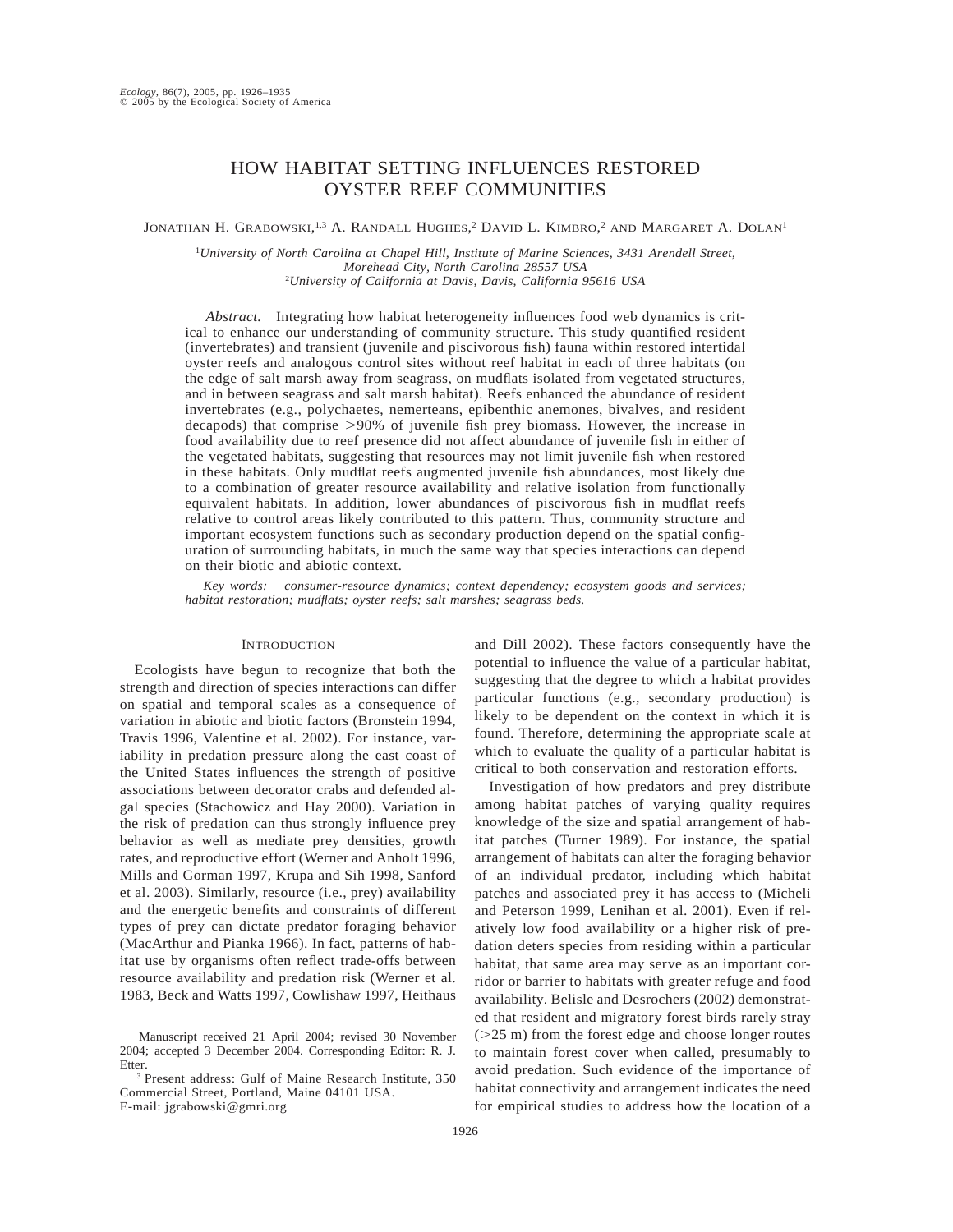# HOW HABITAT SETTING INFLUENCES RESTORED OYSTER REEF COMMUNITIES

Jonathan H. Grabowski, <sup>1,3</sup> A. Randall Hughes, 2 David L. Kimbro, 2 and Margaret A. Dolan<sup>i</sup>

<sup>1</sup>*University of North Carolina at Chapel Hill, Institute of Marine Sciences, 3431 Arendell Street, Morehead City, North Carolina 28557 USA* 2 *University of California at Davis, Davis, California 95616 USA*

*Abstract.* Integrating how habitat heterogeneity influences food web dynamics is critical to enhance our understanding of community structure. This study quantified resident (invertebrates) and transient (juvenile and piscivorous fish) fauna within restored intertidal oyster reefs and analogous control sites without reef habitat in each of three habitats (on the edge of salt marsh away from seagrass, on mudflats isolated from vegetated structures, and in between seagrass and salt marsh habitat). Reefs enhanced the abundance of resident invertebrates (e.g., polychaetes, nemerteans, epibenthic anemones, bivalves, and resident decapods) that comprise >90% of juvenile fish prey biomass. However, the increase in food availability due to reef presence did not affect abundance of juvenile fish in either of the vegetated habitats, suggesting that resources may not limit juvenile fish when restored in these habitats. Only mudflat reefs augmented juvenile fish abundances, most likely due to a combination of greater resource availability and relative isolation from functionally equivalent habitats. In addition, lower abundances of piscivorous fish in mudflat reefs relative to control areas likely contributed to this pattern. Thus, community structure and important ecosystem functions such as secondary production depend on the spatial configuration of surrounding habitats, in much the same way that species interactions can depend on their biotic and abiotic context.

*Key words: consumer-resource dynamics; context dependency; ecosystem goods and services; habitat restoration; mudflats; oyster reefs; salt marshes; seagrass beds.*

# **INTRODUCTION**

Ecologists have begun to recognize that both the strength and direction of species interactions can differ on spatial and temporal scales as a consequence of variation in abiotic and biotic factors (Bronstein 1994, Travis 1996, Valentine et al. 2002). For instance, variability in predation pressure along the east coast of the United States influences the strength of positive associations between decorator crabs and defended algal species (Stachowicz and Hay 2000). Variation in the risk of predation can thus strongly influence prey behavior as well as mediate prey densities, growth rates, and reproductive effort (Werner and Anholt 1996, Mills and Gorman 1997, Krupa and Sih 1998, Sanford et al. 2003). Similarly, resource (i.e., prey) availability and the energetic benefits and constraints of different types of prey can dictate predator foraging behavior (MacArthur and Pianka 1966). In fact, patterns of habitat use by organisms often reflect trade-offs between resource availability and predation risk (Werner et al. 1983, Beck and Watts 1997, Cowlishaw 1997, Heithaus

<sup>3</sup> Present address: Gulf of Maine Research Institute, 350 Commercial Street, Portland, Maine 04101 USA. E-mail: jgrabowski@gmri.org

and Dill 2002). These factors consequently have the potential to influence the value of a particular habitat, suggesting that the degree to which a habitat provides particular functions (e.g., secondary production) is likely to be dependent on the context in which it is found. Therefore, determining the appropriate scale at which to evaluate the quality of a particular habitat is critical to both conservation and restoration efforts.

Investigation of how predators and prey distribute among habitat patches of varying quality requires knowledge of the size and spatial arrangement of habitat patches (Turner 1989). For instance, the spatial arrangement of habitats can alter the foraging behavior of an individual predator, including which habitat patches and associated prey it has access to (Micheli and Peterson 1999, Lenihan et al. 2001). Even if relatively low food availability or a higher risk of predation deters species from residing within a particular habitat, that same area may serve as an important corridor or barrier to habitats with greater refuge and food availability. Belisle and Desrochers (2002) demonstrated that resident and migratory forest birds rarely stray  $(>=25 \text{ m})$  from the forest edge and choose longer routes to maintain forest cover when called, presumably to avoid predation. Such evidence of the importance of habitat connectivity and arrangement indicates the need for empirical studies to address how the location of a

Manuscript received 21 April 2004; revised 30 November 2004; accepted 3 December 2004. Corresponding Editor: R. J. Etter.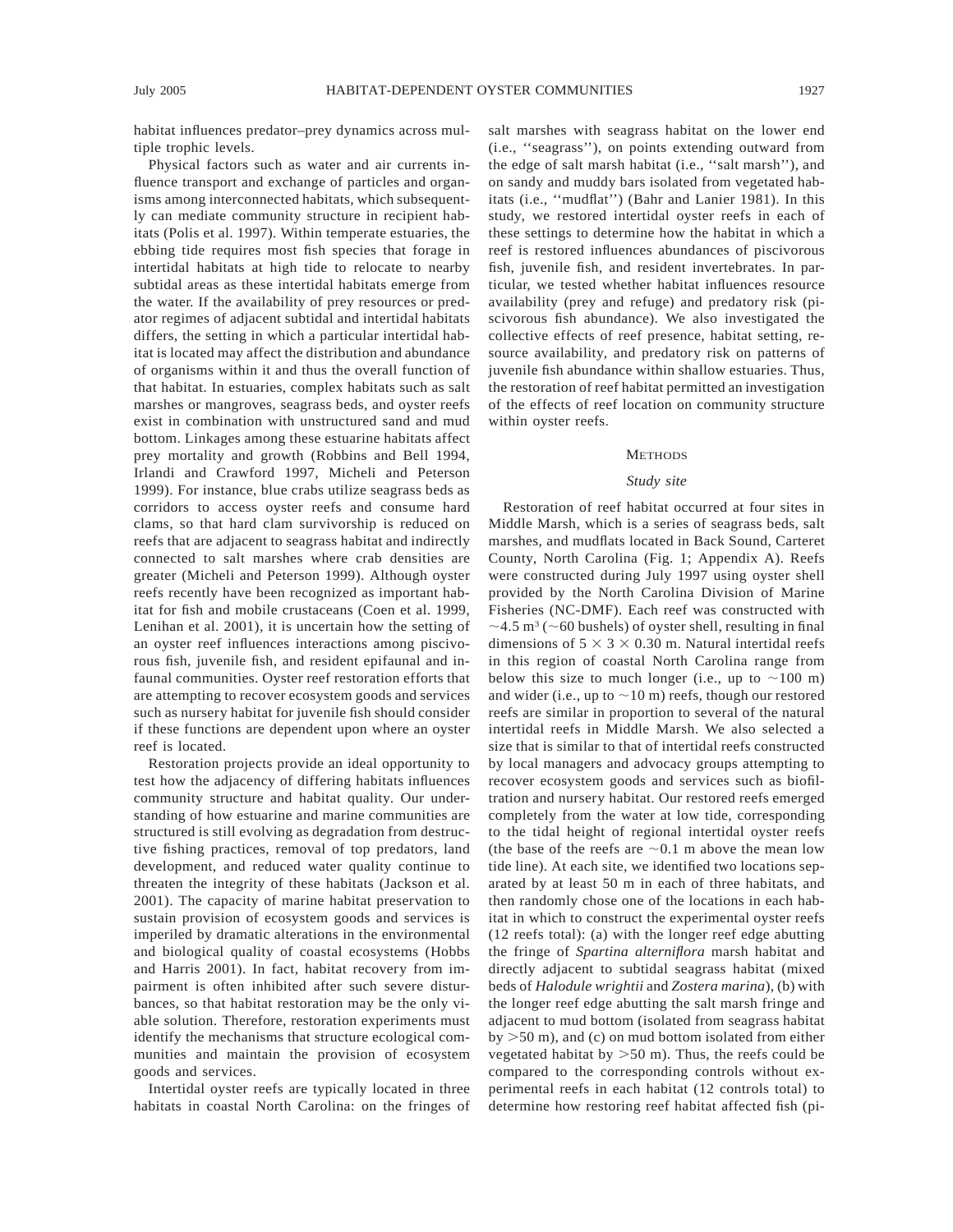habitat influences predator–prey dynamics across multiple trophic levels.

Physical factors such as water and air currents influence transport and exchange of particles and organisms among interconnected habitats, which subsequently can mediate community structure in recipient habitats (Polis et al. 1997). Within temperate estuaries, the ebbing tide requires most fish species that forage in intertidal habitats at high tide to relocate to nearby subtidal areas as these intertidal habitats emerge from the water. If the availability of prey resources or predator regimes of adjacent subtidal and intertidal habitats differs, the setting in which a particular intertidal habitat is located may affect the distribution and abundance of organisms within it and thus the overall function of that habitat. In estuaries, complex habitats such as salt marshes or mangroves, seagrass beds, and oyster reefs exist in combination with unstructured sand and mud bottom. Linkages among these estuarine habitats affect prey mortality and growth (Robbins and Bell 1994, Irlandi and Crawford 1997, Micheli and Peterson 1999). For instance, blue crabs utilize seagrass beds as corridors to access oyster reefs and consume hard clams, so that hard clam survivorship is reduced on reefs that are adjacent to seagrass habitat and indirectly connected to salt marshes where crab densities are greater (Micheli and Peterson 1999). Although oyster reefs recently have been recognized as important habitat for fish and mobile crustaceans (Coen et al. 1999, Lenihan et al. 2001), it is uncertain how the setting of an oyster reef influences interactions among piscivorous fish, juvenile fish, and resident epifaunal and infaunal communities. Oyster reef restoration efforts that are attempting to recover ecosystem goods and services such as nursery habitat for juvenile fish should consider if these functions are dependent upon where an oyster reef is located.

Restoration projects provide an ideal opportunity to test how the adjacency of differing habitats influences community structure and habitat quality. Our understanding of how estuarine and marine communities are structured is still evolving as degradation from destructive fishing practices, removal of top predators, land development, and reduced water quality continue to threaten the integrity of these habitats (Jackson et al. 2001). The capacity of marine habitat preservation to sustain provision of ecosystem goods and services is imperiled by dramatic alterations in the environmental and biological quality of coastal ecosystems (Hobbs and Harris 2001). In fact, habitat recovery from impairment is often inhibited after such severe disturbances, so that habitat restoration may be the only viable solution. Therefore, restoration experiments must identify the mechanisms that structure ecological communities and maintain the provision of ecosystem goods and services.

Intertidal oyster reefs are typically located in three habitats in coastal North Carolina: on the fringes of salt marshes with seagrass habitat on the lower end (i.e., ''seagrass''), on points extending outward from the edge of salt marsh habitat (i.e., ''salt marsh''), and on sandy and muddy bars isolated from vegetated habitats (i.e., ''mudflat'') (Bahr and Lanier 1981). In this study, we restored intertidal oyster reefs in each of these settings to determine how the habitat in which a reef is restored influences abundances of piscivorous fish, juvenile fish, and resident invertebrates. In particular, we tested whether habitat influences resource availability (prey and refuge) and predatory risk (piscivorous fish abundance). We also investigated the collective effects of reef presence, habitat setting, resource availability, and predatory risk on patterns of juvenile fish abundance within shallow estuaries. Thus, the restoration of reef habitat permitted an investigation of the effects of reef location on community structure within oyster reefs.

## METHODS

## *Study site*

Restoration of reef habitat occurred at four sites in Middle Marsh, which is a series of seagrass beds, salt marshes, and mudflats located in Back Sound, Carteret County, North Carolina (Fig. 1; Appendix A). Reefs were constructed during July 1997 using oyster shell provided by the North Carolina Division of Marine Fisheries (NC-DMF). Each reef was constructed with  $\sim$ 4.5 m<sup>3</sup> ( $\sim$  60 bushels) of oyster shell, resulting in final dimensions of  $5 \times 3 \times 0.30$  m. Natural intertidal reefs in this region of coastal North Carolina range from below this size to much longer (i.e., up to  $\sim$ 100 m) and wider (i.e., up to  $\sim$ 10 m) reefs, though our restored reefs are similar in proportion to several of the natural intertidal reefs in Middle Marsh. We also selected a size that is similar to that of intertidal reefs constructed by local managers and advocacy groups attempting to recover ecosystem goods and services such as biofiltration and nursery habitat. Our restored reefs emerged completely from the water at low tide, corresponding to the tidal height of regional intertidal oyster reefs (the base of the reefs are  $\sim 0.1$  m above the mean low tide line). At each site, we identified two locations separated by at least 50 m in each of three habitats, and then randomly chose one of the locations in each habitat in which to construct the experimental oyster reefs (12 reefs total): (a) with the longer reef edge abutting the fringe of *Spartina alterniflora* marsh habitat and directly adjacent to subtidal seagrass habitat (mixed beds of *Halodule wrightii* and *Zostera marina*), (b) with the longer reef edge abutting the salt marsh fringe and adjacent to mud bottom (isolated from seagrass habitat  $by > 50$  m), and (c) on mud bottom isolated from either vegetated habitat by  $>50$  m). Thus, the reefs could be compared to the corresponding controls without experimental reefs in each habitat (12 controls total) to determine how restoring reef habitat affected fish (pi-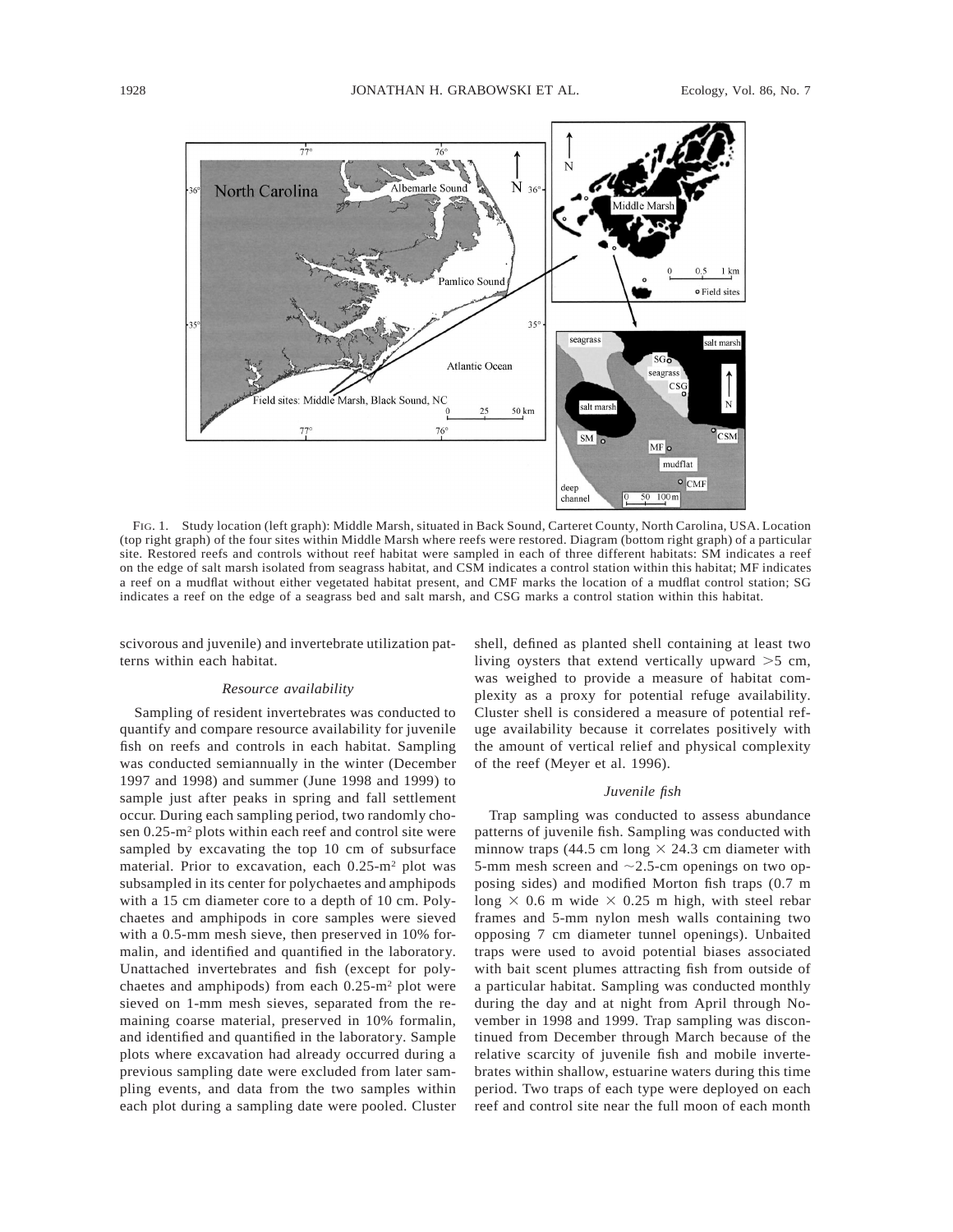

FIG. 1. Study location (left graph): Middle Marsh, situated in Back Sound, Carteret County, North Carolina, USA. Location (top right graph) of the four sites within Middle Marsh where reefs were restored. Diagram (bottom right graph) of a particular site. Restored reefs and controls without reef habitat were sampled in each of three different habitats: SM indicates a reef on the edge of salt marsh isolated from seagrass habitat, and CSM indicates a control station within this habitat; MF indicates a reef on a mudflat without either vegetated habitat present, and CMF marks the location of a mudflat control station; SG indicates a reef on the edge of a seagrass bed and salt marsh, and CSG marks a control station within this habitat.

scivorous and juvenile) and invertebrate utilization patterns within each habitat.

# *Resource availability*

Sampling of resident invertebrates was conducted to quantify and compare resource availability for juvenile fish on reefs and controls in each habitat. Sampling was conducted semiannually in the winter (December 1997 and 1998) and summer (June 1998 and 1999) to sample just after peaks in spring and fall settlement occur. During each sampling period, two randomly chosen 0.25-m2 plots within each reef and control site were sampled by excavating the top 10 cm of subsurface material. Prior to excavation, each 0.25-m<sup>2</sup> plot was subsampled in its center for polychaetes and amphipods with a 15 cm diameter core to a depth of 10 cm. Polychaetes and amphipods in core samples were sieved with a 0.5-mm mesh sieve, then preserved in 10% formalin, and identified and quantified in the laboratory. Unattached invertebrates and fish (except for polychaetes and amphipods) from each  $0.25 \text{--} m^2$  plot were sieved on 1-mm mesh sieves, separated from the remaining coarse material, preserved in 10% formalin, and identified and quantified in the laboratory. Sample plots where excavation had already occurred during a previous sampling date were excluded from later sampling events, and data from the two samples within each plot during a sampling date were pooled. Cluster

shell, defined as planted shell containing at least two living oysters that extend vertically upward  $>5$  cm, was weighed to provide a measure of habitat complexity as a proxy for potential refuge availability. Cluster shell is considered a measure of potential refuge availability because it correlates positively with the amount of vertical relief and physical complexity of the reef (Meyer et al. 1996).

#### *Juvenile fish*

Trap sampling was conducted to assess abundance patterns of juvenile fish. Sampling was conducted with minnow traps (44.5 cm long  $\times$  24.3 cm diameter with 5-mm mesh screen and  $\sim$  2.5-cm openings on two opposing sides) and modified Morton fish traps (0.7 m long  $\times$  0.6 m wide  $\times$  0.25 m high, with steel rebar frames and 5-mm nylon mesh walls containing two opposing 7 cm diameter tunnel openings). Unbaited traps were used to avoid potential biases associated with bait scent plumes attracting fish from outside of a particular habitat. Sampling was conducted monthly during the day and at night from April through November in 1998 and 1999. Trap sampling was discontinued from December through March because of the relative scarcity of juvenile fish and mobile invertebrates within shallow, estuarine waters during this time period. Two traps of each type were deployed on each reef and control site near the full moon of each month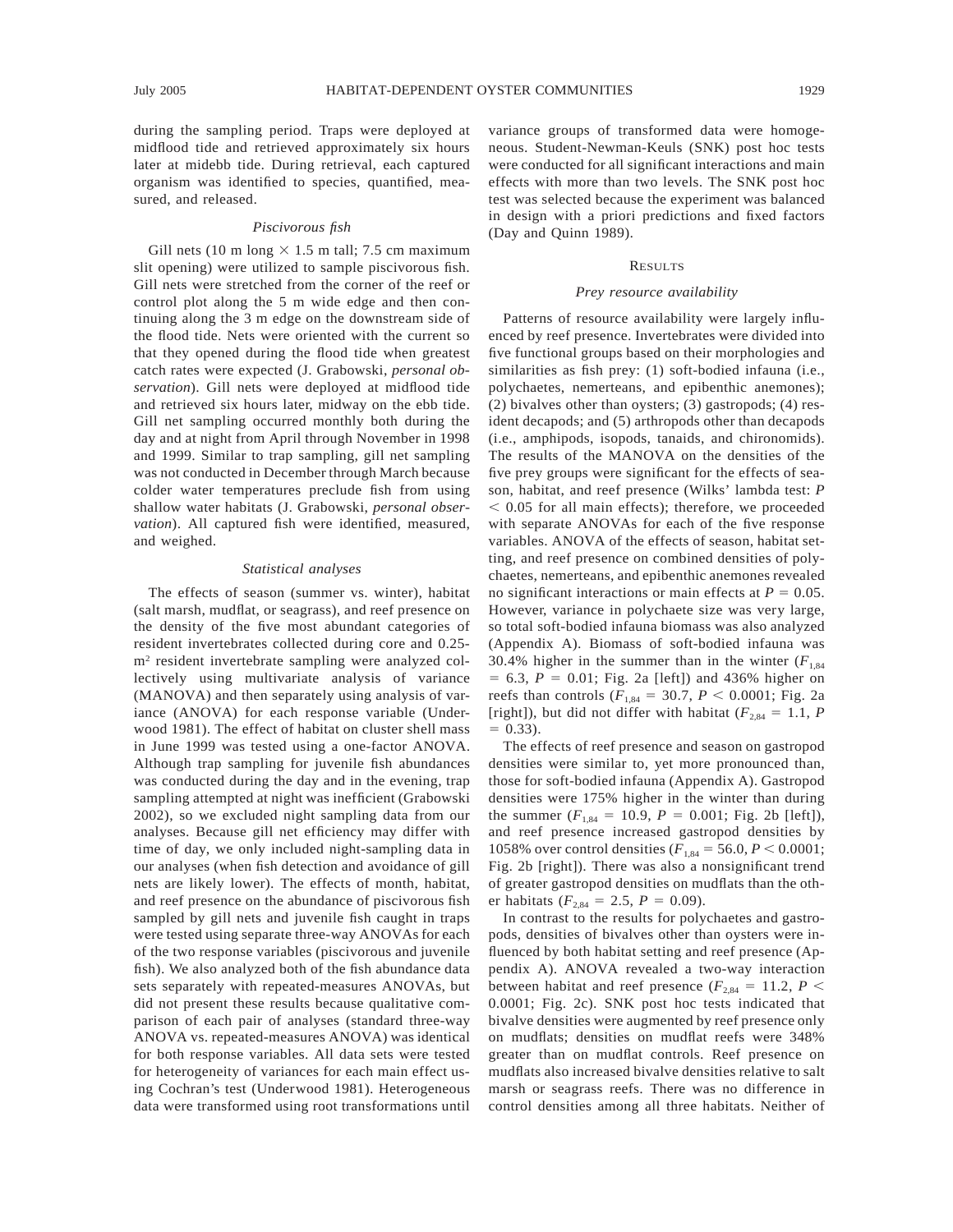during the sampling period. Traps were deployed at midflood tide and retrieved approximately six hours later at midebb tide. During retrieval, each captured organism was identified to species, quantified, measured, and released.

## *Piscivorous fish*

Gill nets (10 m long  $\times$  1.5 m tall; 7.5 cm maximum slit opening) were utilized to sample piscivorous fish. Gill nets were stretched from the corner of the reef or control plot along the 5 m wide edge and then continuing along the 3 m edge on the downstream side of the flood tide. Nets were oriented with the current so that they opened during the flood tide when greatest catch rates were expected (J. Grabowski, *personal observation*). Gill nets were deployed at midflood tide and retrieved six hours later, midway on the ebb tide. Gill net sampling occurred monthly both during the day and at night from April through November in 1998 and 1999. Similar to trap sampling, gill net sampling was not conducted in December through March because colder water temperatures preclude fish from using shallow water habitats (J. Grabowski, *personal observation*). All captured fish were identified, measured, and weighed.

#### *Statistical analyses*

The effects of season (summer vs. winter), habitat (salt marsh, mudflat, or seagrass), and reef presence on the density of the five most abundant categories of resident invertebrates collected during core and 0.25 m2 resident invertebrate sampling were analyzed collectively using multivariate analysis of variance (MANOVA) and then separately using analysis of variance (ANOVA) for each response variable (Underwood 1981). The effect of habitat on cluster shell mass in June 1999 was tested using a one-factor ANOVA. Although trap sampling for juvenile fish abundances was conducted during the day and in the evening, trap sampling attempted at night was inefficient (Grabowski 2002), so we excluded night sampling data from our analyses. Because gill net efficiency may differ with time of day, we only included night-sampling data in our analyses (when fish detection and avoidance of gill nets are likely lower). The effects of month, habitat, and reef presence on the abundance of piscivorous fish sampled by gill nets and juvenile fish caught in traps were tested using separate three-way ANOVAs for each of the two response variables (piscivorous and juvenile fish). We also analyzed both of the fish abundance data sets separately with repeated-measures ANOVAs, but did not present these results because qualitative comparison of each pair of analyses (standard three-way ANOVA vs. repeated-measures ANOVA) was identical for both response variables. All data sets were tested for heterogeneity of variances for each main effect using Cochran's test (Underwood 1981). Heterogeneous data were transformed using root transformations until variance groups of transformed data were homogeneous. Student-Newman-Keuls (SNK) post hoc tests were conducted for all significant interactions and main effects with more than two levels. The SNK post hoc test was selected because the experiment was balanced in design with a priori predictions and fixed factors (Day and Quinn 1989).

## **RESULTS**

## *Prey resource availability*

Patterns of resource availability were largely influenced by reef presence. Invertebrates were divided into five functional groups based on their morphologies and similarities as fish prey: (1) soft-bodied infauna (i.e., polychaetes, nemerteans, and epibenthic anemones); (2) bivalves other than oysters; (3) gastropods; (4) resident decapods; and (5) arthropods other than decapods (i.e., amphipods, isopods, tanaids, and chironomids). The results of the MANOVA on the densities of the five prey groups were significant for the effects of season, habitat, and reef presence (Wilks' lambda test: *P*  $< 0.05$  for all main effects); therefore, we proceeded with separate ANOVAs for each of the five response variables. ANOVA of the effects of season, habitat setting, and reef presence on combined densities of polychaetes, nemerteans, and epibenthic anemones revealed no significant interactions or main effects at  $P = 0.05$ . However, variance in polychaete size was very large, so total soft-bodied infauna biomass was also analyzed (Appendix A). Biomass of soft-bodied infauna was 30.4% higher in the summer than in the winter  $(F_{1,84})$  $= 6.3, P = 0.01$ ; Fig. 2a [left]) and 436% higher on reefs than controls  $(F_{1,84} = 30.7, P < 0.0001; \text{ Fig. 2a})$ [right]), but did not differ with habitat ( $F_{2,84} = 1.1$ , *P*  $= 0.33$ .

The effects of reef presence and season on gastropod densities were similar to, yet more pronounced than, those for soft-bodied infauna (Appendix A). Gastropod densities were 175% higher in the winter than during the summer  $(F_{1,84} = 10.9, P = 0.001;$  Fig. 2b [left]), and reef presence increased gastropod densities by 1058% over control densities  $(F_{1,84} = 56.0, P \le 0.0001;$ Fig. 2b [right]). There was also a nonsignificant trend of greater gastropod densities on mudflats than the other habitats ( $F_{2,84} = 2.5$ ,  $P = 0.09$ ).

In contrast to the results for polychaetes and gastropods, densities of bivalves other than oysters were influenced by both habitat setting and reef presence (Appendix A). ANOVA revealed a two-way interaction between habitat and reef presence ( $F_{2,84} = 11.2$ ,  $P$  < 0.0001; Fig. 2c). SNK post hoc tests indicated that bivalve densities were augmented by reef presence only on mudflats; densities on mudflat reefs were 348% greater than on mudflat controls. Reef presence on mudflats also increased bivalve densities relative to salt marsh or seagrass reefs. There was no difference in control densities among all three habitats. Neither of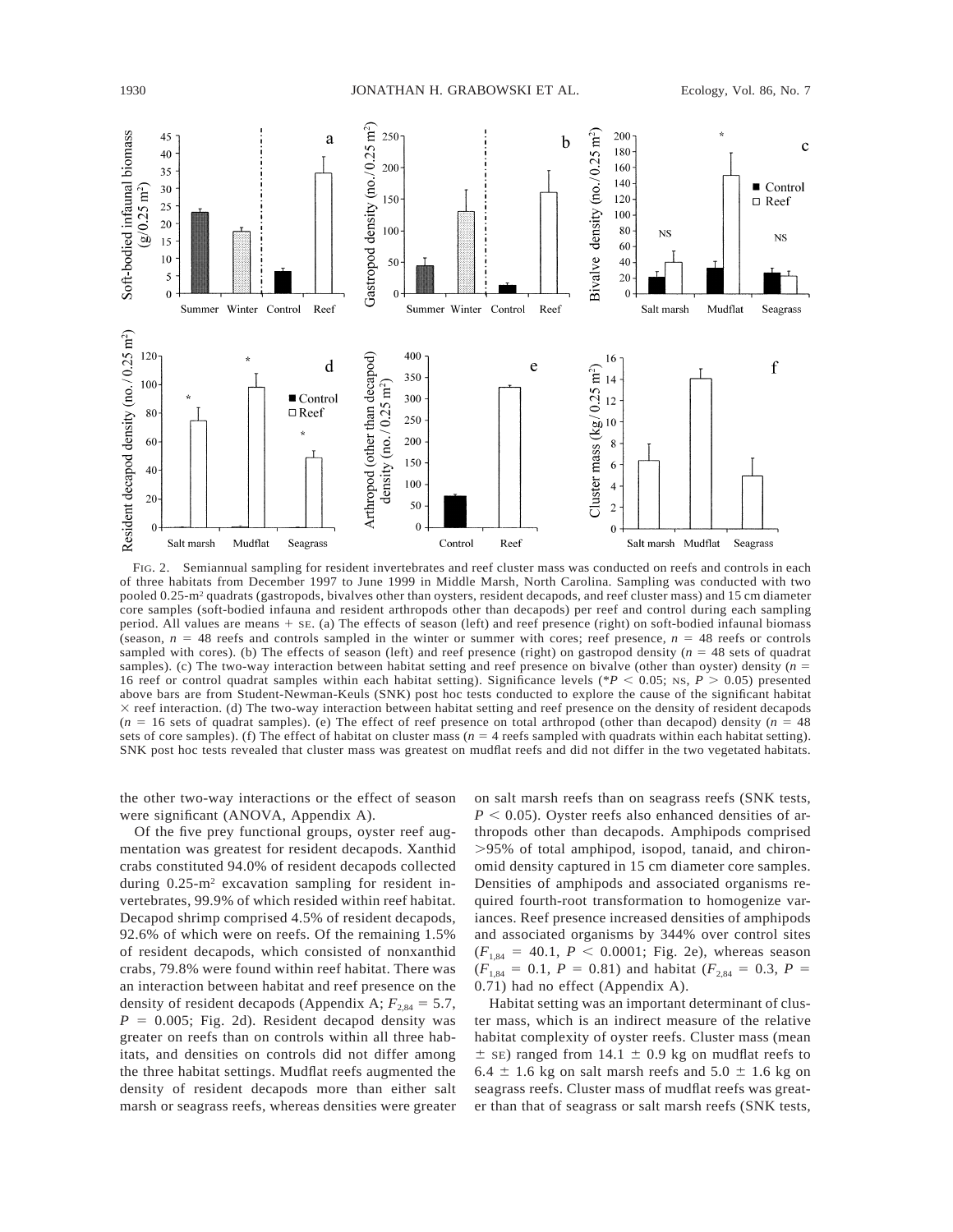

FIG. 2. Semiannual sampling for resident invertebrates and reef cluster mass was conducted on reefs and controls in each of three habitats from December 1997 to June 1999 in Middle Marsh, North Carolina. Sampling was conducted with two pooled 0.25-m2 quadrats (gastropods, bivalves other than oysters, resident decapods, and reef cluster mass) and 15 cm diameter core samples (soft-bodied infauna and resident arthropods other than decapods) per reef and control during each sampling period. All values are means + sE. (a) The effects of season (left) and reef presence (right) on soft-bodied infaunal biomass (season,  $n = 48$  reefs and controls sampled in the winter or summer with cores; reef presence,  $n = 48$  reefs or controls sampled with cores). (b) The effects of season (left) and reef presence (right) on gastropod density ( $n = 48$  sets of quadrat samples). (c) The two-way interaction between habitat setting and reef presence on bivalve (other than oyster) density (*n* = 16 reef or control quadrat samples within each habitat setting). Significance levels (\* $P < 0.05$ ; NS,  $P > 0.05$ ) presented above bars are from Student-Newman-Keuls (SNK) post hoc tests conducted to explore the cause of the significant habitat  $\times$  reef interaction. (d) The two-way interaction between habitat setting and reef presence on the density of resident decapods  $(n = 16$  sets of quadrat samples). (e) The effect of reef presence on total arthropod (other than decapod) density  $(n = 48$ sets of core samples). (f) The effect of habitat on cluster mass  $(n = 4 \text{ reefs}$  sampled with quadrats within each habitat setting). SNK post hoc tests revealed that cluster mass was greatest on mudflat reefs and did not differ in the two vegetated habitats.

the other two-way interactions or the effect of season were significant (ANOVA, Appendix A).

Of the five prey functional groups, oyster reef augmentation was greatest for resident decapods. Xanthid crabs constituted 94.0% of resident decapods collected during  $0.25 \text{--} m^2$  excavation sampling for resident invertebrates, 99.9% of which resided within reef habitat. Decapod shrimp comprised 4.5% of resident decapods, 92.6% of which were on reefs. Of the remaining 1.5% of resident decapods, which consisted of nonxanthid crabs, 79.8% were found within reef habitat. There was an interaction between habitat and reef presence on the density of resident decapods (Appendix A;  $F_{2,84} = 5.7$ ,  $P = 0.005$ ; Fig. 2d). Resident decapod density was greater on reefs than on controls within all three habitats, and densities on controls did not differ among the three habitat settings. Mudflat reefs augmented the density of resident decapods more than either salt marsh or seagrass reefs, whereas densities were greater on salt marsh reefs than on seagrass reefs (SNK tests,  $P < 0.05$ ). Oyster reefs also enhanced densities of arthropods other than decapods. Amphipods comprised .95% of total amphipod, isopod, tanaid, and chironomid density captured in 15 cm diameter core samples. Densities of amphipods and associated organisms required fourth-root transformation to homogenize variances. Reef presence increased densities of amphipods and associated organisms by 344% over control sites  $(F_{1,84} = 40.1, P < 0.0001;$  Fig. 2e), whereas season  $(F_{1,84} = 0.1, P = 0.81)$  and habitat  $(F_{2,84} = 0.3, P = 0.3)$ 0.71) had no effect (Appendix A).

Habitat setting was an important determinant of cluster mass, which is an indirect measure of the relative habitat complexity of oyster reefs. Cluster mass (mean  $\pm$  se) ranged from 14.1  $\pm$  0.9 kg on mudflat reefs to 6.4  $\pm$  1.6 kg on salt marsh reefs and 5.0  $\pm$  1.6 kg on seagrass reefs. Cluster mass of mudflat reefs was greater than that of seagrass or salt marsh reefs (SNK tests,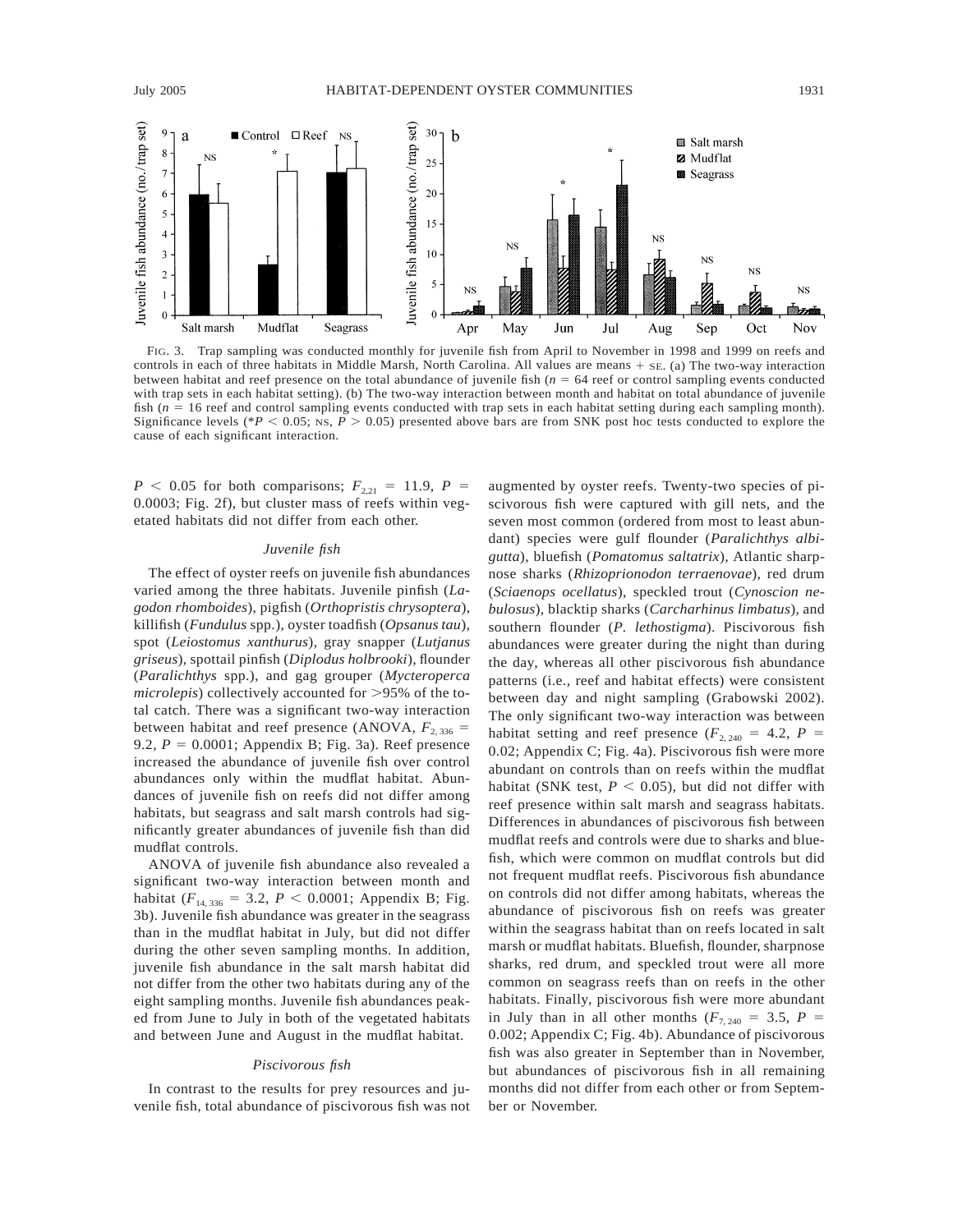

FIG. 3. Trap sampling was conducted monthly for juvenile fish from April to November in 1998 and 1999 on reefs and controls in each of three habitats in Middle Marsh, North Carolina. All values are means  $+$  se. (a) The two-way interaction between habitat and reef presence on the total abundance of juvenile fish  $(n = 64 \text{ reef or control sampling events conducted})$ with trap sets in each habitat setting). (b) The two-way interaction between month and habitat on total abundance of juvenile fish ( $n = 16$  reef and control sampling events conducted with trap sets in each habitat setting during each sampling month). Significance levels ( $*P < 0.05$ ; NS,  $P > 0.05$ ) presented above bars are from SNK post hoc tests conducted to explore the cause of each significant interaction.

 $P$  < 0.05 for both comparisons;  $F_{2,21} = 11.9$ ,  $P =$ 0.0003; Fig. 2f), but cluster mass of reefs within vegetated habitats did not differ from each other.

## *Juvenile fish*

The effect of oyster reefs on juvenile fish abundances varied among the three habitats. Juvenile pinfish (*Lagodon rhomboides*), pigfish (*Orthopristis chrysoptera*), killifish (*Fundulus* spp.), oyster toadfish (*Opsanus tau*), spot (*Leiostomus xanthurus*), gray snapper (*Lutjanus griseus*), spottail pinfish (*Diplodus holbrooki*), flounder (*Paralichthys* spp.), and gag grouper (*Mycteroperca microlepis*) collectively accounted for >95% of the total catch. There was a significant two-way interaction between habitat and reef presence (ANOVA,  $F_{2,336}$  = 9.2,  $P = 0.0001$ ; Appendix B; Fig. 3a). Reef presence increased the abundance of juvenile fish over control abundances only within the mudflat habitat. Abundances of juvenile fish on reefs did not differ among habitats, but seagrass and salt marsh controls had significantly greater abundances of juvenile fish than did mudflat controls.

ANOVA of juvenile fish abundance also revealed a significant two-way interaction between month and habitat ( $F_{14, 336} = 3.2$ ,  $P < 0.0001$ ; Appendix B; Fig. 3b). Juvenile fish abundance was greater in the seagrass than in the mudflat habitat in July, but did not differ during the other seven sampling months. In addition, juvenile fish abundance in the salt marsh habitat did not differ from the other two habitats during any of the eight sampling months. Juvenile fish abundances peaked from June to July in both of the vegetated habitats and between June and August in the mudflat habitat.

## *Piscivorous fish*

In contrast to the results for prey resources and juvenile fish, total abundance of piscivorous fish was not

augmented by oyster reefs. Twenty-two species of piscivorous fish were captured with gill nets, and the seven most common (ordered from most to least abundant) species were gulf flounder (*Paralichthys albigutta*), bluefish (*Pomatomus saltatrix*), Atlantic sharpnose sharks (*Rhizoprionodon terraenovae*), red drum (*Sciaenops ocellatus*), speckled trout (*Cynoscion nebulosus*), blacktip sharks (*Carcharhinus limbatus*), and southern flounder (*P. lethostigma*). Piscivorous fish abundances were greater during the night than during the day, whereas all other piscivorous fish abundance patterns (i.e., reef and habitat effects) were consistent between day and night sampling (Grabowski 2002). The only significant two-way interaction was between habitat setting and reef presence  $(F_{2, 240} = 4.2, P =$ 0.02; Appendix C; Fig. 4a). Piscivorous fish were more abundant on controls than on reefs within the mudflat habitat (SNK test,  $P < 0.05$ ), but did not differ with reef presence within salt marsh and seagrass habitats. Differences in abundances of piscivorous fish between mudflat reefs and controls were due to sharks and bluefish, which were common on mudflat controls but did not frequent mudflat reefs. Piscivorous fish abundance on controls did not differ among habitats, whereas the abundance of piscivorous fish on reefs was greater within the seagrass habitat than on reefs located in salt marsh or mudflat habitats. Bluefish, flounder, sharpnose sharks, red drum, and speckled trout were all more common on seagrass reefs than on reefs in the other habitats. Finally, piscivorous fish were more abundant in July than in all other months ( $F_{7,240} = 3.5$ ,  $P =$ 0.002; Appendix C; Fig. 4b). Abundance of piscivorous fish was also greater in September than in November, but abundances of piscivorous fish in all remaining months did not differ from each other or from September or November.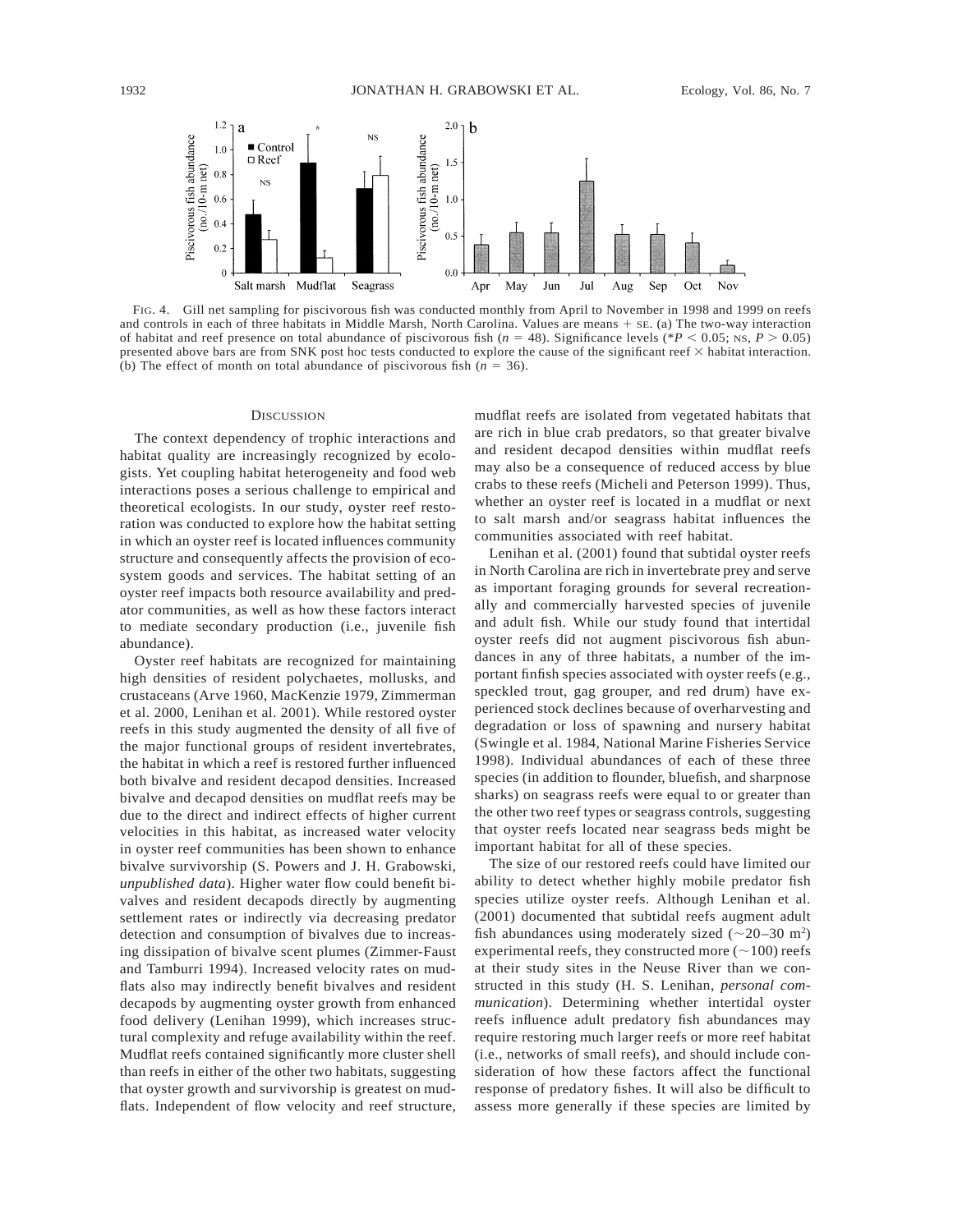

FIG. 4. Gill net sampling for piscivorous fish was conducted monthly from April to November in 1998 and 1999 on reefs and controls in each of three habitats in Middle Marsh, North Carolina. Values are means + SE. (a) The two-way interaction of habitat and reef presence on total abundance of piscivorous fish ( $n = 48$ ). Significance levels (\**P* < 0.05; NS, *P* > 0.05) presented above bars are from SNK post hoc tests conducted to explore the cause of the significant reef  $\times$  habitat interaction. (b) The effect of month on total abundance of piscivorous fish  $(n = 36)$ .

# **DISCUSSION**

The context dependency of trophic interactions and habitat quality are increasingly recognized by ecologists. Yet coupling habitat heterogeneity and food web interactions poses a serious challenge to empirical and theoretical ecologists. In our study, oyster reef restoration was conducted to explore how the habitat setting in which an oyster reef is located influences community structure and consequently affects the provision of ecosystem goods and services. The habitat setting of an oyster reef impacts both resource availability and predator communities, as well as how these factors interact to mediate secondary production (i.e., juvenile fish abundance).

Oyster reef habitats are recognized for maintaining high densities of resident polychaetes, mollusks, and crustaceans (Arve 1960, MacKenzie 1979, Zimmerman et al. 2000, Lenihan et al. 2001). While restored oyster reefs in this study augmented the density of all five of the major functional groups of resident invertebrates, the habitat in which a reef is restored further influenced both bivalve and resident decapod densities. Increased bivalve and decapod densities on mudflat reefs may be due to the direct and indirect effects of higher current velocities in this habitat, as increased water velocity in oyster reef communities has been shown to enhance bivalve survivorship (S. Powers and J. H. Grabowski, *unpublished data*). Higher water flow could benefit bivalves and resident decapods directly by augmenting settlement rates or indirectly via decreasing predator detection and consumption of bivalves due to increasing dissipation of bivalve scent plumes (Zimmer-Faust and Tamburri 1994). Increased velocity rates on mudflats also may indirectly benefit bivalves and resident decapods by augmenting oyster growth from enhanced food delivery (Lenihan 1999), which increases structural complexity and refuge availability within the reef. Mudflat reefs contained significantly more cluster shell than reefs in either of the other two habitats, suggesting that oyster growth and survivorship is greatest on mudflats. Independent of flow velocity and reef structure,

mudflat reefs are isolated from vegetated habitats that are rich in blue crab predators, so that greater bivalve and resident decapod densities within mudflat reefs may also be a consequence of reduced access by blue crabs to these reefs (Micheli and Peterson 1999). Thus, whether an oyster reef is located in a mudflat or next to salt marsh and/or seagrass habitat influences the communities associated with reef habitat.

Lenihan et al. (2001) found that subtidal oyster reefs in North Carolina are rich in invertebrate prey and serve as important foraging grounds for several recreationally and commercially harvested species of juvenile and adult fish. While our study found that intertidal oyster reefs did not augment piscivorous fish abundances in any of three habitats, a number of the important finfish species associated with oyster reefs (e.g., speckled trout, gag grouper, and red drum) have experienced stock declines because of overharvesting and degradation or loss of spawning and nursery habitat (Swingle et al. 1984, National Marine Fisheries Service 1998). Individual abundances of each of these three species (in addition to flounder, bluefish, and sharpnose sharks) on seagrass reefs were equal to or greater than the other two reef types or seagrass controls, suggesting that oyster reefs located near seagrass beds might be important habitat for all of these species.

The size of our restored reefs could have limited our ability to detect whether highly mobile predator fish species utilize oyster reefs. Although Lenihan et al. (2001) documented that subtidal reefs augment adult fish abundances using moderately sized  $(\sim 20-30 \text{ m}^2)$ experimental reefs, they constructed more  $(\sim 100)$  reefs at their study sites in the Neuse River than we constructed in this study (H. S. Lenihan, *personal communication*). Determining whether intertidal oyster reefs influence adult predatory fish abundances may require restoring much larger reefs or more reef habitat (i.e., networks of small reefs), and should include consideration of how these factors affect the functional response of predatory fishes. It will also be difficult to assess more generally if these species are limited by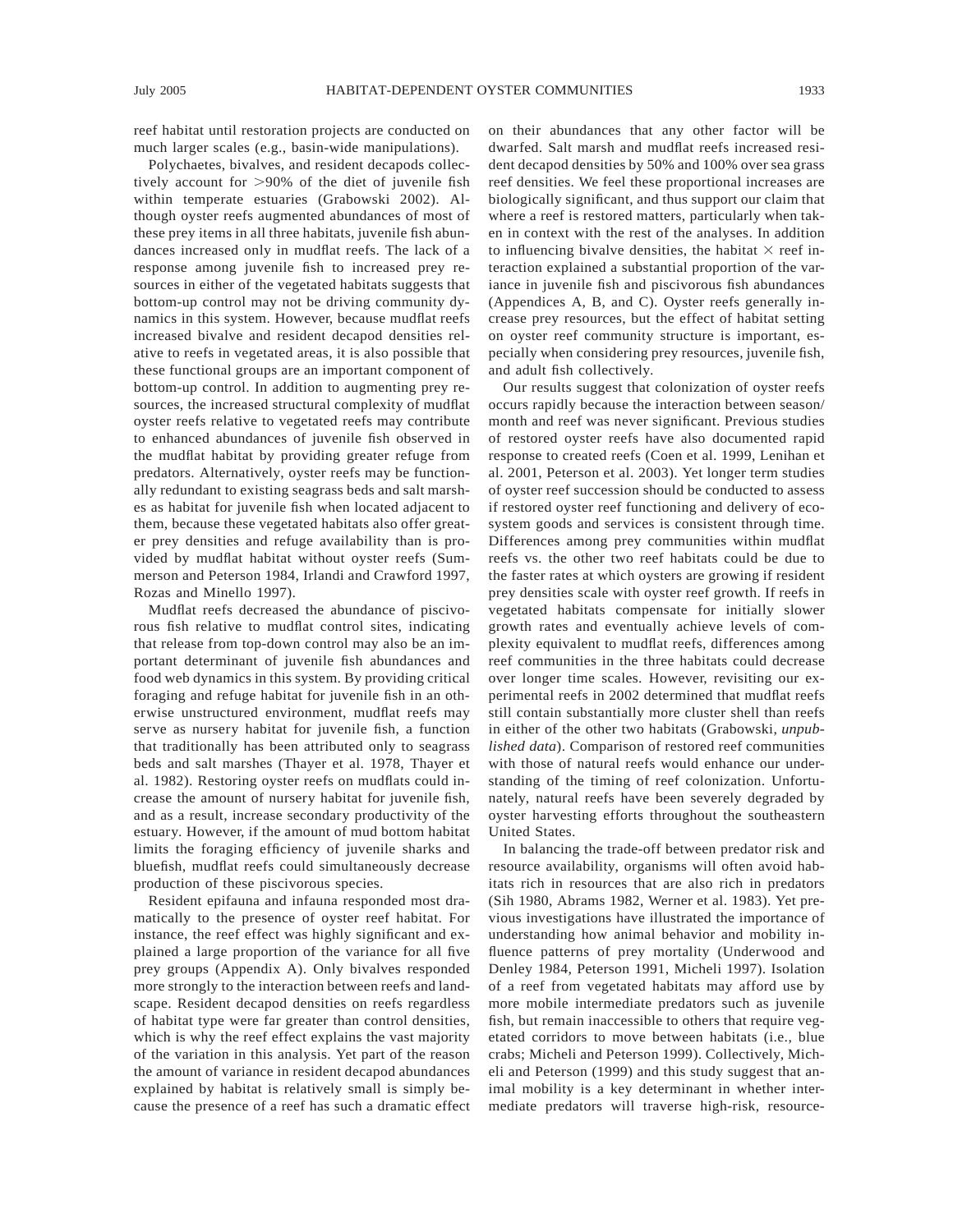reef habitat until restoration projects are conducted on much larger scales (e.g., basin-wide manipulations).

Polychaetes, bivalves, and resident decapods collectively account for  $>90\%$  of the diet of juvenile fish within temperate estuaries (Grabowski 2002). Although oyster reefs augmented abundances of most of these prey items in all three habitats, juvenile fish abundances increased only in mudflat reefs. The lack of a response among juvenile fish to increased prey resources in either of the vegetated habitats suggests that bottom-up control may not be driving community dynamics in this system. However, because mudflat reefs increased bivalve and resident decapod densities relative to reefs in vegetated areas, it is also possible that these functional groups are an important component of bottom-up control. In addition to augmenting prey resources, the increased structural complexity of mudflat oyster reefs relative to vegetated reefs may contribute to enhanced abundances of juvenile fish observed in the mudflat habitat by providing greater refuge from predators. Alternatively, oyster reefs may be functionally redundant to existing seagrass beds and salt marshes as habitat for juvenile fish when located adjacent to them, because these vegetated habitats also offer greater prey densities and refuge availability than is provided by mudflat habitat without oyster reefs (Summerson and Peterson 1984, Irlandi and Crawford 1997, Rozas and Minello 1997).

Mudflat reefs decreased the abundance of piscivorous fish relative to mudflat control sites, indicating that release from top-down control may also be an important determinant of juvenile fish abundances and food web dynamics in this system. By providing critical foraging and refuge habitat for juvenile fish in an otherwise unstructured environment, mudflat reefs may serve as nursery habitat for juvenile fish, a function that traditionally has been attributed only to seagrass beds and salt marshes (Thayer et al. 1978, Thayer et al. 1982). Restoring oyster reefs on mudflats could increase the amount of nursery habitat for juvenile fish, and as a result, increase secondary productivity of the estuary. However, if the amount of mud bottom habitat limits the foraging efficiency of juvenile sharks and bluefish, mudflat reefs could simultaneously decrease production of these piscivorous species.

Resident epifauna and infauna responded most dramatically to the presence of oyster reef habitat. For instance, the reef effect was highly significant and explained a large proportion of the variance for all five prey groups (Appendix A). Only bivalves responded more strongly to the interaction between reefs and landscape. Resident decapod densities on reefs regardless of habitat type were far greater than control densities, which is why the reef effect explains the vast majority of the variation in this analysis. Yet part of the reason the amount of variance in resident decapod abundances explained by habitat is relatively small is simply because the presence of a reef has such a dramatic effect on their abundances that any other factor will be dwarfed. Salt marsh and mudflat reefs increased resident decapod densities by 50% and 100% over sea grass reef densities. We feel these proportional increases are biologically significant, and thus support our claim that where a reef is restored matters, particularly when taken in context with the rest of the analyses. In addition to influencing bivalve densities, the habitat  $\times$  reef interaction explained a substantial proportion of the variance in juvenile fish and piscivorous fish abundances (Appendices A, B, and C). Oyster reefs generally increase prey resources, but the effect of habitat setting on oyster reef community structure is important, especially when considering prey resources, juvenile fish, and adult fish collectively.

Our results suggest that colonization of oyster reefs occurs rapidly because the interaction between season/ month and reef was never significant. Previous studies of restored oyster reefs have also documented rapid response to created reefs (Coen et al. 1999, Lenihan et al. 2001, Peterson et al. 2003). Yet longer term studies of oyster reef succession should be conducted to assess if restored oyster reef functioning and delivery of ecosystem goods and services is consistent through time. Differences among prey communities within mudflat reefs vs. the other two reef habitats could be due to the faster rates at which oysters are growing if resident prey densities scale with oyster reef growth. If reefs in vegetated habitats compensate for initially slower growth rates and eventually achieve levels of complexity equivalent to mudflat reefs, differences among reef communities in the three habitats could decrease over longer time scales. However, revisiting our experimental reefs in 2002 determined that mudflat reefs still contain substantially more cluster shell than reefs in either of the other two habitats (Grabowski, *unpublished data*). Comparison of restored reef communities with those of natural reefs would enhance our understanding of the timing of reef colonization. Unfortunately, natural reefs have been severely degraded by oyster harvesting efforts throughout the southeastern United States.

In balancing the trade-off between predator risk and resource availability, organisms will often avoid habitats rich in resources that are also rich in predators (Sih 1980, Abrams 1982, Werner et al. 1983). Yet previous investigations have illustrated the importance of understanding how animal behavior and mobility influence patterns of prey mortality (Underwood and Denley 1984, Peterson 1991, Micheli 1997). Isolation of a reef from vegetated habitats may afford use by more mobile intermediate predators such as juvenile fish, but remain inaccessible to others that require vegetated corridors to move between habitats (i.e., blue crabs; Micheli and Peterson 1999). Collectively, Micheli and Peterson (1999) and this study suggest that animal mobility is a key determinant in whether intermediate predators will traverse high-risk, resource-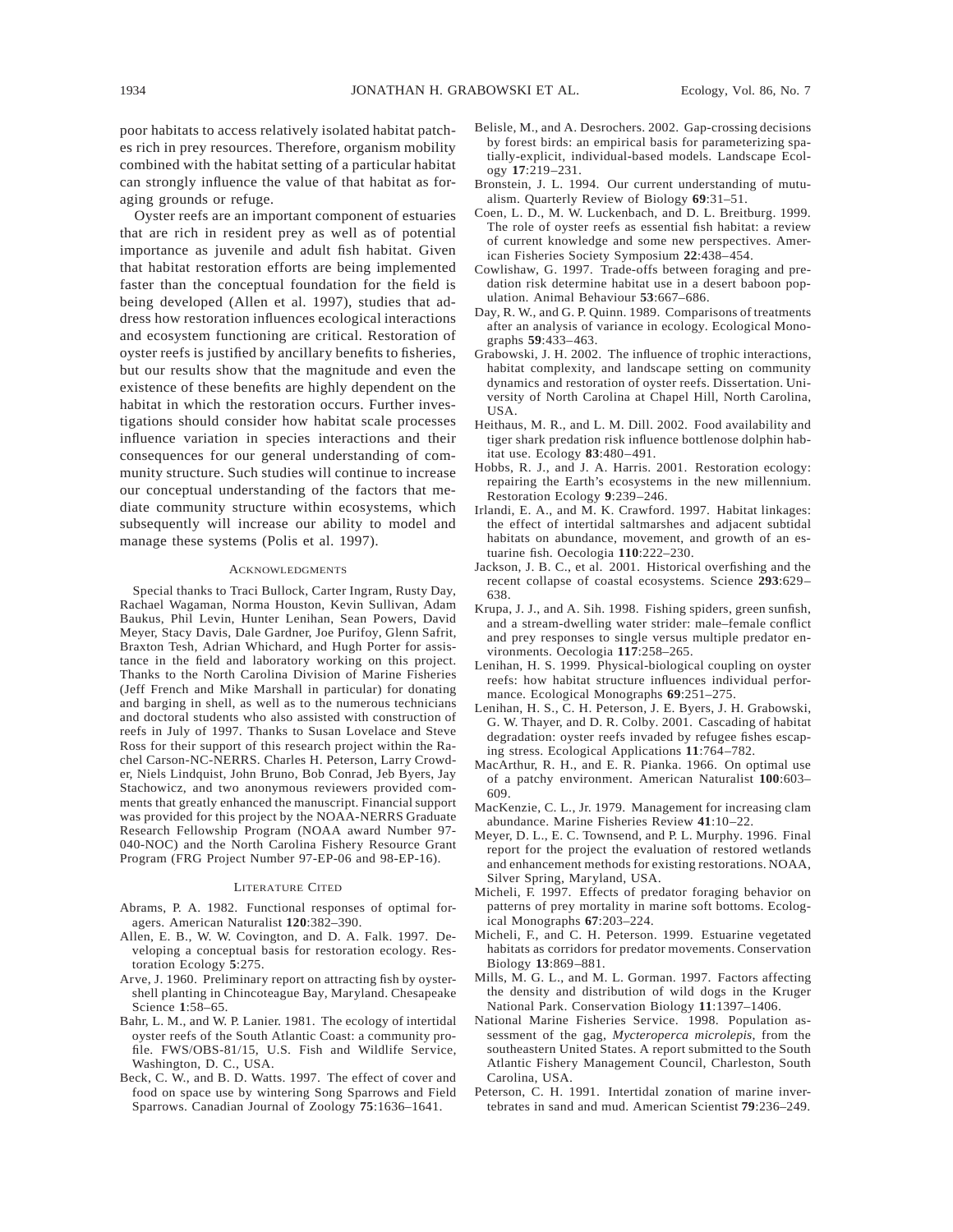poor habitats to access relatively isolated habitat patches rich in prey resources. Therefore, organism mobility combined with the habitat setting of a particular habitat can strongly influence the value of that habitat as foraging grounds or refuge.

Oyster reefs are an important component of estuaries that are rich in resident prey as well as of potential importance as juvenile and adult fish habitat. Given that habitat restoration efforts are being implemented faster than the conceptual foundation for the field is being developed (Allen et al. 1997), studies that address how restoration influences ecological interactions and ecosystem functioning are critical. Restoration of oyster reefs is justified by ancillary benefits to fisheries, but our results show that the magnitude and even the existence of these benefits are highly dependent on the habitat in which the restoration occurs. Further investigations should consider how habitat scale processes influence variation in species interactions and their consequences for our general understanding of community structure. Such studies will continue to increase our conceptual understanding of the factors that mediate community structure within ecosystems, which subsequently will increase our ability to model and manage these systems (Polis et al. 1997).

## **ACKNOWLEDGMENTS**

Special thanks to Traci Bullock, Carter Ingram, Rusty Day, Rachael Wagaman, Norma Houston, Kevin Sullivan, Adam Baukus, Phil Levin, Hunter Lenihan, Sean Powers, David Meyer, Stacy Davis, Dale Gardner, Joe Purifoy, Glenn Safrit, Braxton Tesh, Adrian Whichard, and Hugh Porter for assistance in the field and laboratory working on this project. Thanks to the North Carolina Division of Marine Fisheries (Jeff French and Mike Marshall in particular) for donating and barging in shell, as well as to the numerous technicians and doctoral students who also assisted with construction of reefs in July of 1997. Thanks to Susan Lovelace and Steve Ross for their support of this research project within the Rachel Carson-NC-NERRS. Charles H. Peterson, Larry Crowder, Niels Lindquist, John Bruno, Bob Conrad, Jeb Byers, Jay Stachowicz, and two anonymous reviewers provided comments that greatly enhanced the manuscript. Financial support was provided for this project by the NOAA-NERRS Graduate Research Fellowship Program (NOAA award Number 97- 040-NOC) and the North Carolina Fishery Resource Grant Program (FRG Project Number 97-EP-06 and 98-EP-16).

## LITERATURE CITED

- Abrams, P. A. 1982. Functional responses of optimal foragers. American Naturalist **120**:382–390.
- Allen, E. B., W. W. Covington, and D. A. Falk. 1997. Developing a conceptual basis for restoration ecology. Restoration Ecology **5**:275.
- Arve, J. 1960. Preliminary report on attracting fish by oystershell planting in Chincoteague Bay, Maryland. Chesapeake Science **1**:58–65.
- Bahr, L. M., and W. P. Lanier. 1981. The ecology of intertidal oyster reefs of the South Atlantic Coast: a community profile. FWS/OBS-81/15, U.S. Fish and Wildlife Service, Washington, D. C., USA.
- Beck, C. W., and B. D. Watts. 1997. The effect of cover and food on space use by wintering Song Sparrows and Field Sparrows. Canadian Journal of Zoology **75**:1636–1641.
- Belisle, M., and A. Desrochers. 2002. Gap-crossing decisions by forest birds: an empirical basis for parameterizing spatially-explicit, individual-based models. Landscape Ecology **17**:219–231.
- Bronstein, J. L. 1994. Our current understanding of mutualism. Quarterly Review of Biology **69**:31–51.
- Coen, L. D., M. W. Luckenbach, and D. L. Breitburg. 1999. The role of oyster reefs as essential fish habitat: a review of current knowledge and some new perspectives. American Fisheries Society Symposium **22**:438–454.
- Cowlishaw, G. 1997. Trade-offs between foraging and predation risk determine habitat use in a desert baboon population. Animal Behaviour **53**:667–686.
- Day, R. W., and G. P. Quinn. 1989. Comparisons of treatments after an analysis of variance in ecology. Ecological Monographs **59**:433–463.
- Grabowski, J. H. 2002. The influence of trophic interactions, habitat complexity, and landscape setting on community dynamics and restoration of oyster reefs. Dissertation. University of North Carolina at Chapel Hill, North Carolina, USA.
- Heithaus, M. R., and L. M. Dill. 2002. Food availability and tiger shark predation risk influence bottlenose dolphin habitat use. Ecology **83**:480–491.
- Hobbs, R. J., and J. A. Harris. 2001. Restoration ecology: repairing the Earth's ecosystems in the new millennium. Restoration Ecology **9**:239–246.
- Irlandi, E. A., and M. K. Crawford. 1997. Habitat linkages: the effect of intertidal saltmarshes and adjacent subtidal habitats on abundance, movement, and growth of an estuarine fish. Oecologia **110**:222–230.
- Jackson, J. B. C., et al. 2001. Historical overfishing and the recent collapse of coastal ecosystems. Science **293**:629– 638.
- Krupa, J. J., and A. Sih. 1998. Fishing spiders, green sunfish, and a stream-dwelling water strider: male–female conflict and prey responses to single versus multiple predator environments. Oecologia **117**:258–265.
- Lenihan, H. S. 1999. Physical-biological coupling on oyster reefs: how habitat structure influences individual performance. Ecological Monographs **69**:251–275.
- Lenihan, H. S., C. H. Peterson, J. E. Byers, J. H. Grabowski, G. W. Thayer, and D. R. Colby. 2001. Cascading of habitat degradation: oyster reefs invaded by refugee fishes escaping stress. Ecological Applications **11**:764–782.
- MacArthur, R. H., and E. R. Pianka. 1966. On optimal use of a patchy environment. American Naturalist **100**:603– 609.
- MacKenzie, C. L., Jr. 1979. Management for increasing clam abundance. Marine Fisheries Review **41**:10–22.
- Meyer, D. L., E. C. Townsend, and P. L. Murphy. 1996. Final report for the project the evaluation of restored wetlands and enhancement methods for existing restorations. NOAA, Silver Spring, Maryland, USA.
- Micheli, F. 1997. Effects of predator foraging behavior on patterns of prey mortality in marine soft bottoms. Ecological Monographs **67**:203–224.
- Micheli, F., and C. H. Peterson. 1999. Estuarine vegetated habitats as corridors for predator movements. Conservation Biology **13**:869–881.
- Mills, M. G. L., and M. L. Gorman. 1997. Factors affecting the density and distribution of wild dogs in the Kruger National Park. Conservation Biology **11**:1397–1406.
- National Marine Fisheries Service. 1998. Population assessment of the gag, *Mycteroperca microlepis*, from the southeastern United States. A report submitted to the South Atlantic Fishery Management Council, Charleston, South Carolina, USA.
- Peterson, C. H. 1991. Intertidal zonation of marine invertebrates in sand and mud. American Scientist **79**:236–249.